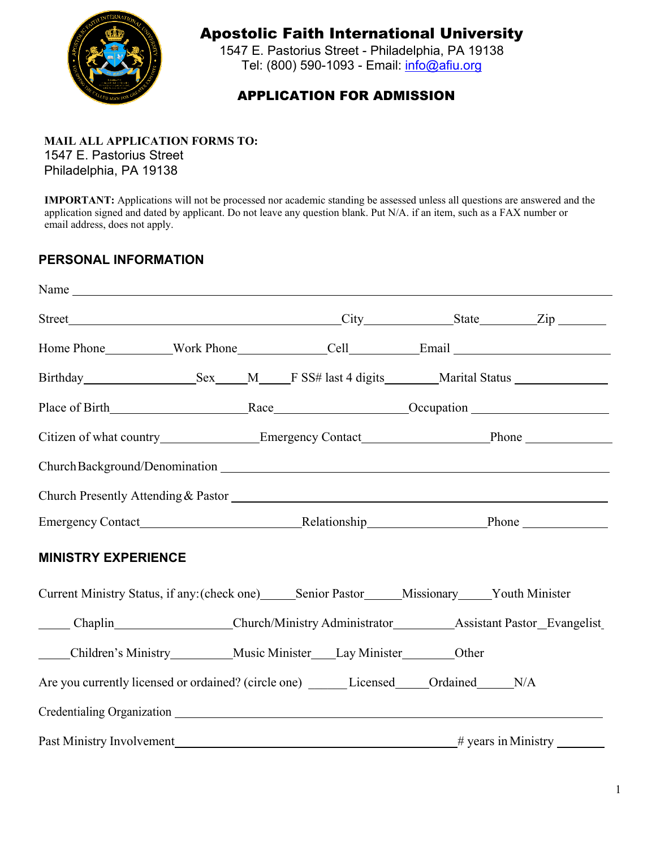

## Apostolic Faith International University

1547 E. Pastorius Street - Philadelphia, PA 19138 Tel: (800) 590-1093 - Email: [info@afiu.org](mailto:info@afiu.org)

### APPLICATION FOR ADMISSION

## **MAIL ALL APPLICATION FORMS TO:**

1547 E. Pastorius Street Philadelphia, PA 19138

**IMPORTANT:** Applications will not be processed nor academic standing be assessed unless all questions are answered and the application signed and dated by applicant. Do not leave any question blank. Put N/A. if an item, such as a FAX number or email address, does not apply.

#### **PERSONAL INFORMATION**

| Home Phone Mork Phone Cell Email Email                                                                                                                                                                                         |  |  |
|--------------------------------------------------------------------------------------------------------------------------------------------------------------------------------------------------------------------------------|--|--|
|                                                                                                                                                                                                                                |  |  |
|                                                                                                                                                                                                                                |  |  |
| Citizen of what country__________________Emergency Contact______________________Phone ______________                                                                                                                           |  |  |
|                                                                                                                                                                                                                                |  |  |
|                                                                                                                                                                                                                                |  |  |
|                                                                                                                                                                                                                                |  |  |
| <b>MINISTRY EXPERIENCE</b>                                                                                                                                                                                                     |  |  |
| Current Ministry Status, if any: (check one)______Senior Pastor______Missionary_____Youth Minister                                                                                                                             |  |  |
| Chaplin Church/Ministry Administrator Assistant Pastor_Evangelist                                                                                                                                                              |  |  |
| Children's Ministry Music Minister Lay Minister Other                                                                                                                                                                          |  |  |
| Are you currently licensed or ordained? (circle one) ________ Licensed ______ Ordained ______ N/A                                                                                                                              |  |  |
| Credentialing Organization entry and the contract of the contract of the contract of the contract of the contract of the contract of the contract of the contract of the contract of the contract of the contract of the contr |  |  |
|                                                                                                                                                                                                                                |  |  |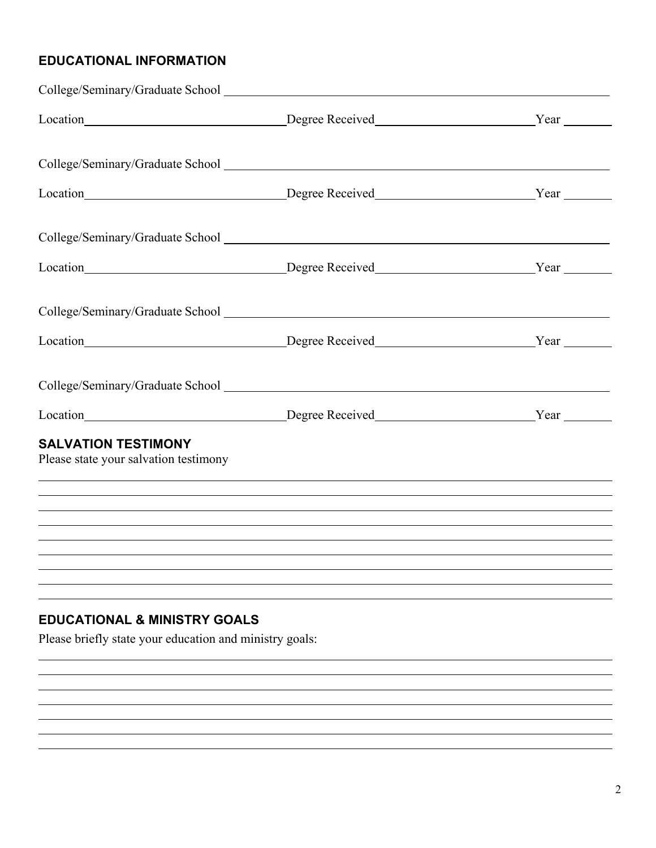## **EDUCATIONAL INFORMATION**

|                                                                                                    | Location Material Contract Degree Received Material Contract Pear Near Material Contract Pear Near Location Material Contract Pear Near Location Near Location Near Location Near Location Near Location Near Location Near Lo                                            |  |
|----------------------------------------------------------------------------------------------------|---------------------------------------------------------------------------------------------------------------------------------------------------------------------------------------------------------------------------------------------------------------------------|--|
|                                                                                                    |                                                                                                                                                                                                                                                                           |  |
|                                                                                                    |                                                                                                                                                                                                                                                                           |  |
|                                                                                                    |                                                                                                                                                                                                                                                                           |  |
|                                                                                                    |                                                                                                                                                                                                                                                                           |  |
| <b>SALVATION TESTIMONY</b><br>Please state your salvation testimony                                | ,我们也不能在这里的时候,我们也不能在这里的时候,我们也不能会不能会不能会不能会不能会不能会不能会不能会不能会不能会。<br>第2012章 我们的时候,我们的时候,我们的时候,我们的时候,我们的时候,我们的时候,我们的时候,我们的时候,我们的时候,我们的时候,我们的时候,我们的时候,我<br><u> 1989 - Andrea Santa Andrea Santa Andrea Santa Andrea Santa Andrea Santa Andrea Santa Andrea Santa Andrea Santa</u> |  |
|                                                                                                    | ,我们也不会有什么。""我们的人,我们也不会有什么?""我们的人,我们也不会有什么?""我们的人,我们也不会有什么?""我们的人,我们也不会有什么?""我们的人                                                                                                                                                                                          |  |
|                                                                                                    |                                                                                                                                                                                                                                                                           |  |
|                                                                                                    |                                                                                                                                                                                                                                                                           |  |
| <b>EDUCATIONAL &amp; MINISTRY GOALS</b><br>Please briefly state your education and ministry goals: |                                                                                                                                                                                                                                                                           |  |
|                                                                                                    |                                                                                                                                                                                                                                                                           |  |
|                                                                                                    |                                                                                                                                                                                                                                                                           |  |
|                                                                                                    |                                                                                                                                                                                                                                                                           |  |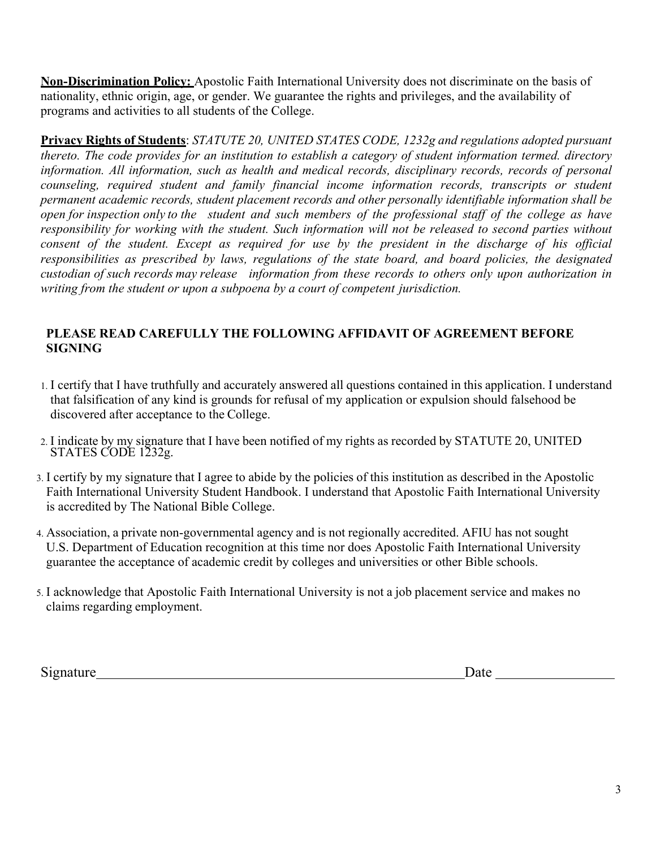**Non-Discrimination Policy:** Apostolic Faith International University does not discriminate on the basis of nationality, ethnic origin, age, or gender. We guarantee the rights and privileges, and the availability of programs and activities to all students of the College.

**Privacy Rights of Students**: *STATUTE 20, UNITED STATES CODE, 1232g and regulations adopted pursuant thereto. The code provides for an institution to establish a category of student information termed. directory information. All information, such as health and medical records, disciplinary records, records of personal counseling, required student and family financial income information records, transcripts or student permanent academic records, student placement records and other personally identifiable information shall be open for inspection only to the student and such members of the professional staff of the college as have responsibility for working with the student. Such information will not be released to second parties without consent of the student. Except as required for use by the president in the discharge of his official responsibilities as prescribed by laws, regulations of the state board, and board policies, the designated custodian of such records may release information from these records to others only upon authorization in writing from the student or upon a subpoena by a court of competent jurisdiction.*

#### **PLEASE READ CAREFULLY THE FOLLOWING AFFIDAVIT OF AGREEMENT BEFORE SIGNING**

- 1. I certify that I have truthfully and accurately answered all questions contained in this application. I understand that falsification of any kind is grounds for refusal of my application or expulsion should falsehood be discovered after acceptance to the College.
- 2. I indicate by my signature that I have been notified of my rights as recorded by STATUTE 20, UNITED STATES CODE 1232g.
- 3. I certify by my signature that I agree to abide by the policies of this institution as described in the Apostolic Faith International University Student Handbook. I understand that Apostolic Faith International University is accredited by The National Bible College.
- 4. Association, a private non-governmental agency and is not regionally accredited. AFIU has not sought U.S. Department of Education recognition at this time nor does Apostolic Faith International University guarantee the acceptance of academic credit by colleges and universities or other Bible schools.
- 5. I acknowledge that Apostolic Faith International University is not a job placement service and makes no claims regarding employment.

Signature Date